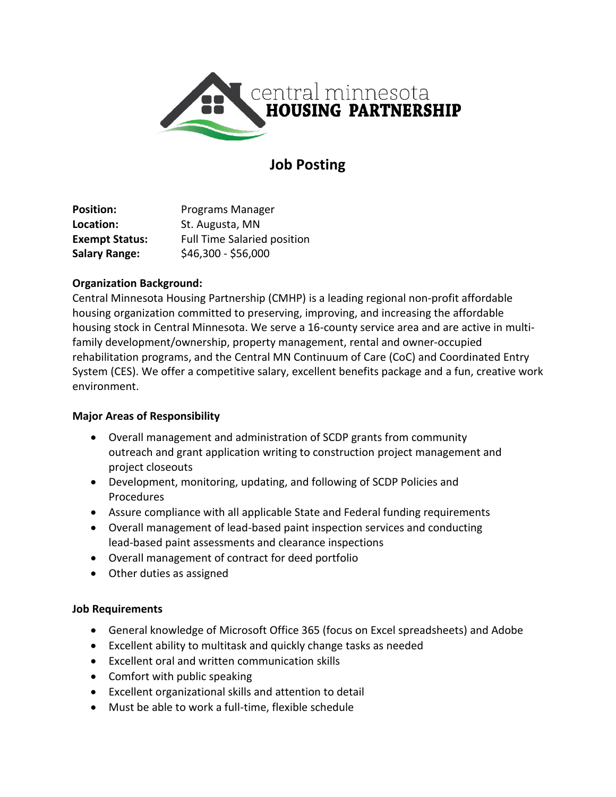

# **Job Posting**

**Position:** Programs Manager **Location:** St. Augusta, MN **Exempt Status:** Full Time Salaried position **Salary Range:**  $$46,300 - $56,000$ 

## **Organization Background:**

Central Minnesota Housing Partnership (CMHP) is a leading regional non-profit affordable housing organization committed to preserving, improving, and increasing the affordable housing stock in Central Minnesota. We serve a 16-county service area and are active in multifamily development/ownership, property management, rental and owner-occupied rehabilitation programs, and the Central MN Continuum of Care (CoC) and Coordinated Entry System (CES). We offer a competitive salary, excellent benefits package and a fun, creative work environment.

# **Major Areas of Responsibility**

- Overall management and administration of SCDP grants from community outreach and grant application writing to construction project management and project closeouts
- Development, monitoring, updating, and following of SCDP Policies and Procedures
- Assure compliance with all applicable State and Federal funding requirements
- Overall management of lead-based paint inspection services and conducting lead-based paint assessments and clearance inspections
- Overall management of contract for deed portfolio
- Other duties as assigned

# **Job Requirements**

- General knowledge of Microsoft Office 365 (focus on Excel spreadsheets) and Adobe
- Excellent ability to multitask and quickly change tasks as needed
- Excellent oral and written communication skills
- Comfort with public speaking
- Excellent organizational skills and attention to detail
- Must be able to work a full-time, flexible schedule